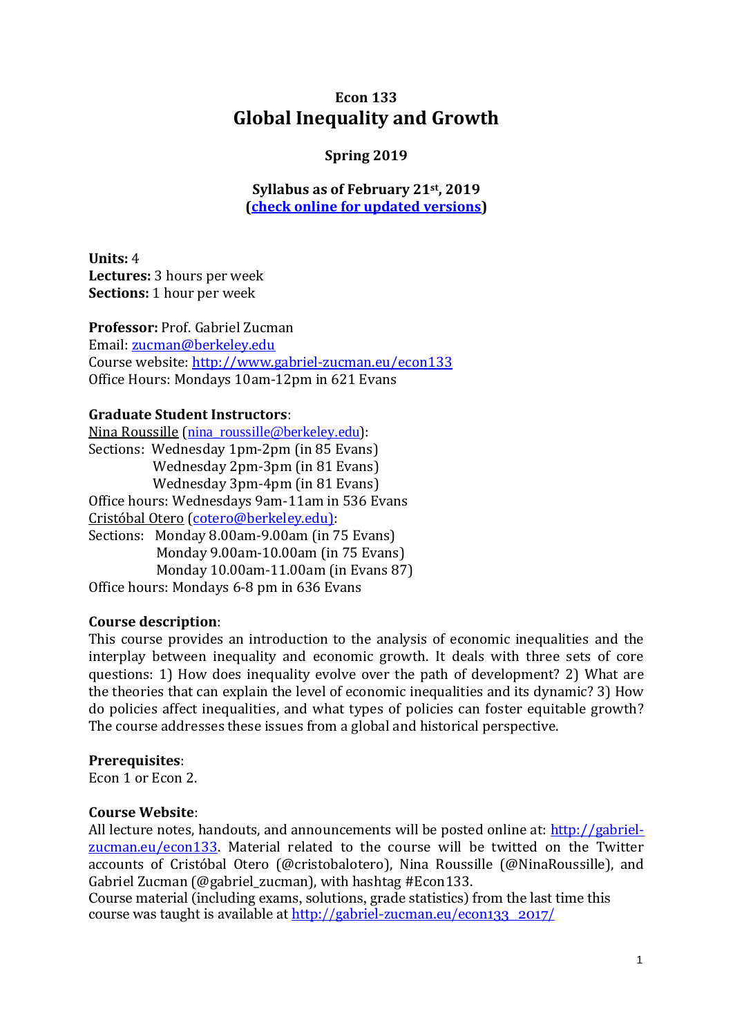# **Econ 133 Global Inequality and Growth**

### **Spring 2019**

**Syllabus as of February 21st, 2019 [\(check online for updated versions\)](http://gabriel-zucman.eu/files/econ133/E133syllabus2019.pdf)**

**Units:** 4 **Lectures:** 3 hours per week **Sections:** 1 hour per week

**Professor:** Prof. Gabriel Zucman Email: [zucman@berkeley.edu](mailto:zucman@berkeley.edu) Course website:<http://www.gabriel-zucman.eu/>econ133 Office Hours: Mondays 10am-12pm in 621 Evans

#### **Graduate Student Instructors**:

Nina Roussille (nina\_roussille@berkeley.edu): Sections: Wednesday 1pm-2pm (in 85 Evans) Wednesday 2pm-3pm (in 81 Evans) Wednesday 3pm-4pm (in 81 Evans) Office hours: Wednesdays 9am-11am in 536 Evans Cristóbal Otero [\(cotero@berkeley.edu\):](mailto:jschellenberg@berkeley.edu)) Sections: Monday 8.00am-9.00am (in 75 Evans) Monday 9.00am-10.00am (in 75 Evans) Monday 10.00am-11.00am (in Evans 87) Office hours: Mondays 6-8 pm in 636 Evans

#### **Course description**:

This course provides an introduction to the analysis of economic inequalities and the interplay between inequality and economic growth. It deals with three sets of core questions: 1) How does inequality evolve over the path of development? 2) What are the theories that can explain the level of economic inequalities and its dynamic? 3) How do policies affect inequalities, and what types of policies can foster equitable growth? The course addresses these issues from a global and historical perspective.

#### **Prerequisites**:

Econ 1 or Econ 2.

#### **Course Website**:

All lecture notes, handouts, and announcements will be posted online at: [http://gabriel](http://gabriel-zucman.eu/econ133)[zucman.eu/econ133.](http://gabriel-zucman.eu/econ133) Material related to the course will be twitted on the Twitter accounts of Cristóbal Otero (@cristobalotero), Nina Roussille (@NinaRoussille), and Gabriel Zucman (@gabriel\_zucman), with hashtag #Econ133.

Course material (including exams, solutions, grade statistics) from the last time this course was taught is available at [http://gabriel-zucman.eu/econ133\\_2017/](http://gabriel-zucman.eu/econ133_2017/)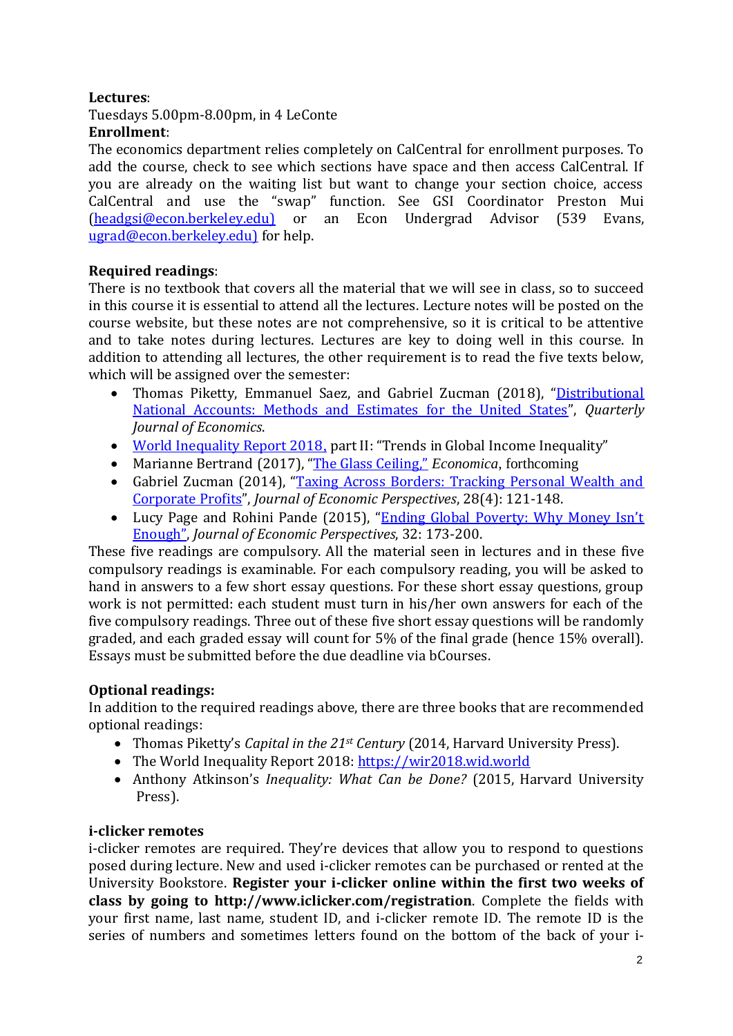### **Lectures**:

Tuesdays 5.00pm-8.00pm, in 4 LeConte

### **Enrollment**:

The economics department relies completely on CalCentral for enrollment purposes. To add the course, check to see which sections have space and then access CalCentral. If you are already on the waiting list but want to change your section choice, access CalCentral and use the "swap" function. See GSI Coordinator Preston Mui [\(headgsi@econ.berkeley.edu\)](mailto:headgsi@econ.berkeley.edu)) or an Econ Undergrad Advisor (539 Evans, [ugrad@econ.berkeley.edu\)](mailto:ugrad@econ.berkeley.edu)) for help.

### **Required readings**:

There is no textbook that covers all the material that we will see in class, so to succeed in this course it is essential to attend all the lectures. Lecture notes will be posted on the course website, but these notes are not comprehensive, so it is critical to be attentive and to take notes during lectures. Lectures are key to doing well in this course. In addition to attending all lectures, the other requirement is to read the five texts below, which will be assigned over the semester:

- Thomas Piketty, Emmanuel Saez, and Gabriel Zucman (2018), "Distributional [National Accounts: Methods and Estimates for the United States](http://gabriel-zucman.eu/files/PSZ2018QJE.pdf)", *Quarterly Journal of Economics*.
- [World Inequality Report 2018](https://wir2018.wid.world/files/download/wir2018-full-report-english.pdf), part II: "Trends in Global Income Inequality"
- Marianne Bertrand (2017), "The [Glass](http://faculty.chicagobooth.edu/marianne.bertrand/research/papers/The%20Glass%20Ceiling_112117.pdf) Ceiling," *Economica*, forthcoming
- Gabriel Zucman (2014), "Taxing Across Borders: Tracking Personal Wealth and [Corporate Profits](http://gabriel-zucman.eu/files/Zucman2014JEP.pdf)", *Journal of Economic Perspectives*, 28(4): 121-148.
- Lucy Page and Rohini Pande (2015), "Ending Global Poverty: Why Money Isn't [Enough](https://pubs.aeaweb.org/doi/pdfplus/10.1257/jep.32.4.173)", *Journal of Economic Perspectives*, 32: 173-200.

These five readings are compulsory. All the material seen in lectures and in these five compulsory readings is examinable. For each compulsory reading, you will be asked to hand in answers to a few short essay questions. For these short essay questions, group work is not permitted: each student must turn in his/her own answers for each of the five compulsory readings. Three out of these five short essay questions will be randomly graded, and each graded essay will count for 5% of the final grade (hence 15% overall). Essays must be submitted before the due deadline via bCourses.

### **Optional readings:**

In addition to the required readings above, there are three books that are recommended optional readings:

- Thomas Piketty's *Capital in the 21st Century* (2014, Harvard University Press).
- The World Inequality Report 2018[: https://wir2018.wid.world](https://wir2018.wid.world/)
- Anthony Atkinson's *Inequality: What Can be Done?* (2015, Harvard University Press).

### **i-clicker remotes**

i-clicker remotes are required. They're devices that allow you to respond to questions posed during lecture. New and used i-clicker remotes can be purchased or rented at the University Bookstore. **Register your i-clicker online within the first two weeks of class by going to http://www.iclicker.com/registration**. Complete the fields with your first name, last name, student ID, and i-clicker remote ID. The remote ID is the series of numbers and sometimes letters found on the bottom of the back of your i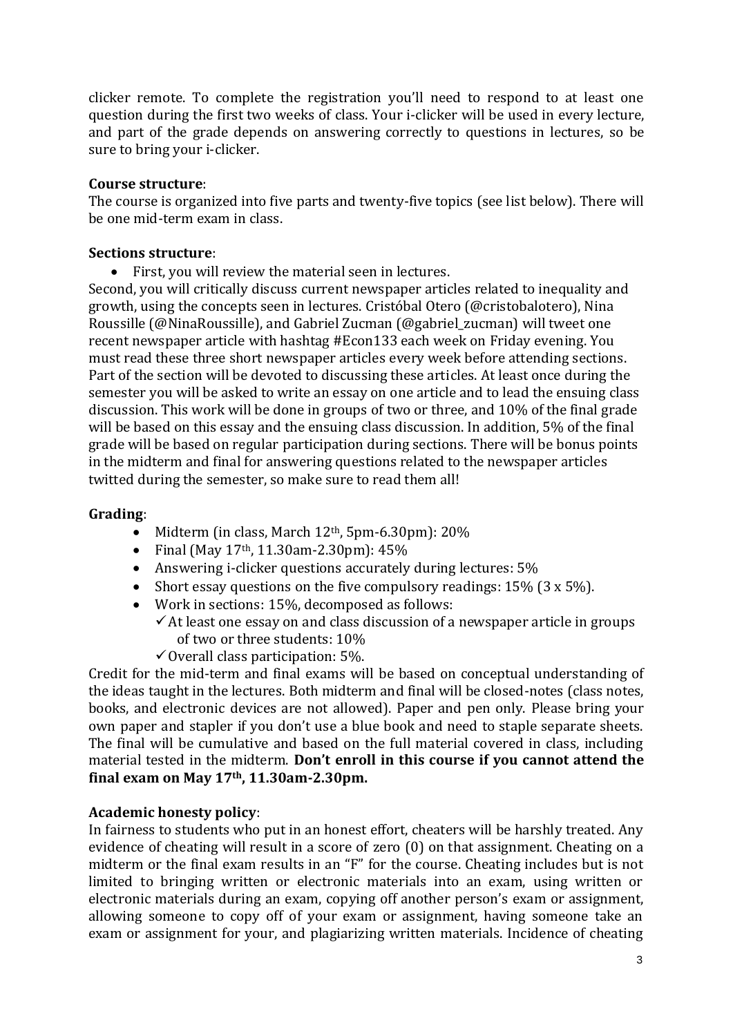clicker remote. To complete the registration you'll need to respond to at least one question during the first two weeks of class. Your i-clicker will be used in every lecture, and part of the grade depends on answering correctly to questions in lectures, so be sure to bring your i-clicker.

#### **Course structure**:

The course is organized into five parts and twenty-five topics (see list below). There will be one mid-term exam in class.

#### **Sections structure**:

• First, you will review the material seen in lectures.

Second, you will critically discuss current newspaper articles related to inequality and growth, using the concepts seen in lectures. Cristóbal Otero (@cristobalotero), Nina Roussille (@NinaRoussille), and Gabriel Zucman (@gabriel\_zucman) will tweet one recent newspaper article with hashtag #Econ133 each week on Friday evening. You must read these three short newspaper articles every week before attending sections. Part of the section will be devoted to discussing these articles. At least once during the semester you will be asked to write an essay on one article and to lead the ensuing class discussion. This work will be done in groups of two or three, and 10% of the final grade will be based on this essay and the ensuing class discussion. In addition, 5% of the final grade will be based on regular participation during sections. There will be bonus points in the midterm and final for answering questions related to the newspaper articles twitted during the semester, so make sure to read them all!

#### **Grading**:

- Midterm (in class, March 12<sup>th</sup>, 5pm-6.30pm): 20%
- Final (May  $17<sup>th</sup>$ , 11.30am-2.30pm):  $45%$
- Answering i-clicker questions accurately during lectures: 5%
- Short essay questions on the five compulsory readings: 15% (3 x 5%).
- Work in sections: 15%, decomposed as follows:
	- $\checkmark$  At least one essay on and class discussion of a newspaper article in groups of two or three students: 10%
		- ✓Overall class participation: 5%.

Credit for the mid-term and final exams will be based on conceptual understanding of the ideas taught in the lectures. Both midterm and final will be closed-notes (class notes, books, and electronic devices are not allowed). Paper and pen only. Please bring your own paper and stapler if you don't use a blue book and need to staple separate sheets. The final will be cumulative and based on the full material covered in class, including material tested in the midterm. **Don't enroll in this course if you cannot attend the final exam on May 17th, 11.30am-2.30pm.**

#### **Academic honesty policy**:

In fairness to students who put in an honest effort, cheaters will be harshly treated. Any evidence of cheating will result in a score of zero (0) on that assignment. Cheating on a midterm or the final exam results in an "F" for the course. Cheating includes but is not limited to bringing written or electronic materials into an exam, using written or electronic materials during an exam, copying off another person's exam or assignment, allowing someone to copy off of your exam or assignment, having someone take an exam or assignment for your, and plagiarizing written materials. Incidence of cheating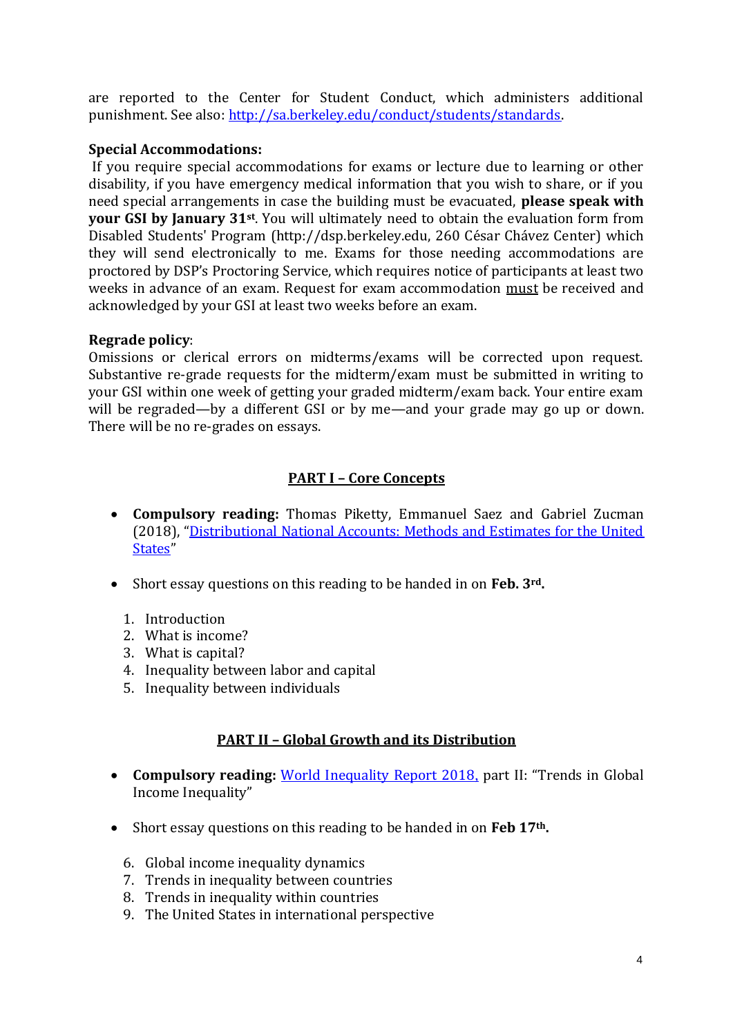are reported to the Center for Student Conduct, which administers additional punishment. See also: [http://sa.berkeley.edu/conduct/students/standards.](http://sa.berkeley.edu/conduct/students/standards)

### **Special Accommodations:**

If you require special accommodations for exams or lecture due to learning or other disability, if you have emergency medical information that you wish to share, or if you need special arrangements in case the building must be evacuated, **please speak with your GSI by January 31st**. You will ultimately need to obtain the evaluation form from Disabled Students' Program (http://dsp.berkeley.edu, 260 César Chávez Center) which they will send electronically to me. Exams for those needing accommodations are proctored by DSP's Proctoring Service, which requires notice of participants at least two weeks in advance of an exam. Request for exam accommodation must be received and acknowledged by your GSI at least two weeks before an exam.

### **Regrade policy**:

Omissions or clerical errors on midterms/exams will be corrected upon request. Substantive re-grade requests for the midterm/exam must be submitted in writing to your GSI within one week of getting your graded midterm/exam back. Your entire exam will be regraded—by a different GSI or by me—and your grade may go up or down. There will be no re-grades on essays.

### **PART I – Core Concepts**

- **Compulsory reading:** Thomas Piketty, Emmanuel Saez and Gabriel Zucman (2018), "[Distributional National Accounts: Methods and Estimates for the United](http://gabriel-zucman.eu/files/PSZ2018.pdf)  [States](http://gabriel-zucman.eu/files/PSZ2018.pdf)"
- Short essay questions on this reading to be handed in on **Feb. 3rd.** 
	- 1. Introduction
	- 2. What is income?
	- 3. What is capital?
	- 4. Inequality between labor and capital
	- 5. Inequality between individuals

### **PART II – Global Growth and its Distribution**

- **Compulsory reading:** [World Inequality Report 2018](https://wir2018.wid.world/files/download/wir2018-full-report-english.pdf), part II: "Trends in Global Income Inequality"
- Short essay questions on this reading to be handed in on **Feb 17th.**
	- 6. Global income inequality dynamics
	- 7. Trends in inequality between countries
	- 8. Trends in inequality within countries
	- 9. The United States in international perspective